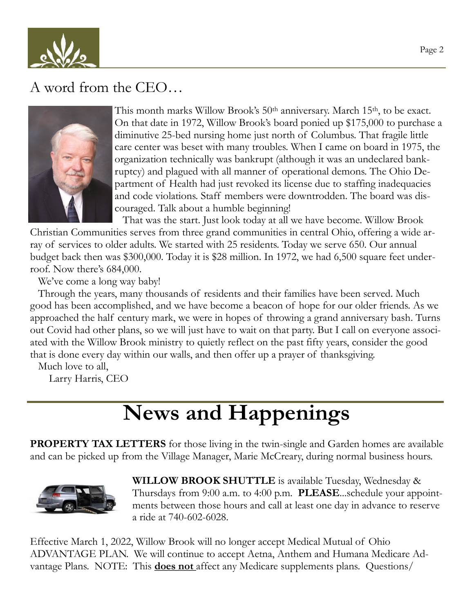

#### A word from the CEO…



This month marks Willow Brook's 50th anniversary. March 15th, to be exact. On that date in 1972, Willow Brook's board ponied up \$175,000 to purchase a diminutive 25-bed nursing home just north of Columbus. That fragile little care center was beset with many troubles. When I came on board in 1975, the organization technically was bankrupt (although it was an undeclared bankruptcy) and plagued with all manner of operational demons. The Ohio Department of Health had just revoked its license due to staffing inadequacies and code violations. Staff members were downtrodden. The board was discouraged. Talk about a humble beginning!

 That was the start. Just look today at all we have become. Willow Brook Christian Communities serves from three grand communities in central Ohio, offering a wide array of services to older adults. We started with 25 residents. Today we serve 650. Our annual budget back then was \$300,000. Today it is \$28 million. In 1972, we had 6,500 square feet underroof. Now there's 684,000.

We've come a long way baby!

 Through the years, many thousands of residents and their families have been served. Much good has been accomplished, and we have become a beacon of hope for our older friends. As we approached the half century mark, we were in hopes of throwing a grand anniversary bash. Turns out Covid had other plans, so we will just have to wait on that party. But I call on everyone associated with the Willow Brook ministry to quietly reflect on the past fifty years, consider the good that is done every day within our walls, and then offer up a prayer of thanksgiving.

Much love to all,

Larry Harris, CEO

# **News and Happenings**

**PROPERTY TAX LETTERS** for those living in the twin-single and Garden homes are available and can be picked up from the Village Manager, Marie McCreary, during normal business hours.



**WILLOW BROOK SHUTTLE** is available Tuesday, Wednesday & Thursdays from 9:00 a.m. to 4:00 p.m. **PLEASE**...schedule your appointments between those hours and call at least one day in advance to reserve a ride at 740-602-6028.

Effective March 1, 2022, Willow Brook will no longer accept Medical Mutual of Ohio ADVANTAGE PLAN. We will continue to accept Aetna, Anthem and Humana Medicare Advantage Plans. NOTE: This **does not** affect any Medicare supplements plans. Questions/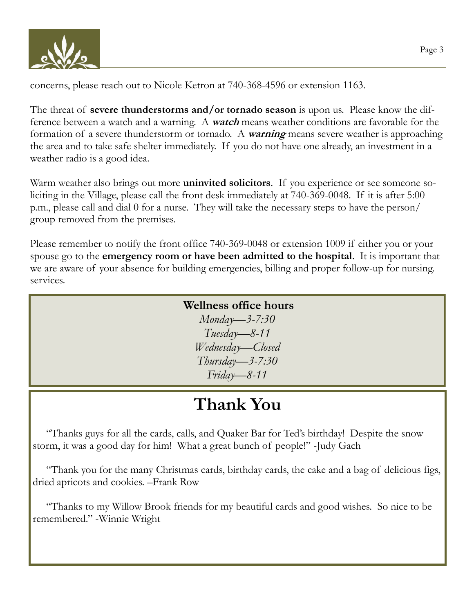

concerns, please reach out to Nicole Ketron at 740-368-4596 or extension 1163.

The threat of **severe thunderstorms and/or tornado season** is upon us. Please know the difference between a watch and a warning. A **watch** means weather conditions are favorable for the formation of a severe thunderstorm or tornado. A **warning** means severe weather is approaching the area and to take safe shelter immediately. If you do not have one already, an investment in a weather radio is a good idea.

Warm weather also brings out more **uninvited solicitors**. If you experience or see someone soliciting in the Village, please call the front desk immediately at 740-369-0048. If it is after 5:00 p.m., please call and dial 0 for a nurse. They will take the necessary steps to have the person/ group removed from the premises.

Please remember to notify the front office 740-369-0048 or extension 1009 if either you or your spouse go to the **emergency room or have been admitted to the hospital**. It is important that we are aware of your absence for building emergencies, billing and proper follow-up for nursing. services.

#### **Wellness office hours**

*Monday—3-7:30 Tuesday—8-11 Wednesday—Closed Thursday—3-7:30 Friday—8-11*

### **Thank You**

 "Thanks guys for all the cards, calls, and Quaker Bar for Ted's birthday! Despite the snow storm, it was a good day for him! What a great bunch of people!" -Judy Gach

 "Thank you for the many Christmas cards, birthday cards, the cake and a bag of delicious figs, dried apricots and cookies. –Frank Row

 "Thanks to my Willow Brook friends for my beautiful cards and good wishes. So nice to be remembered." -Winnie Wright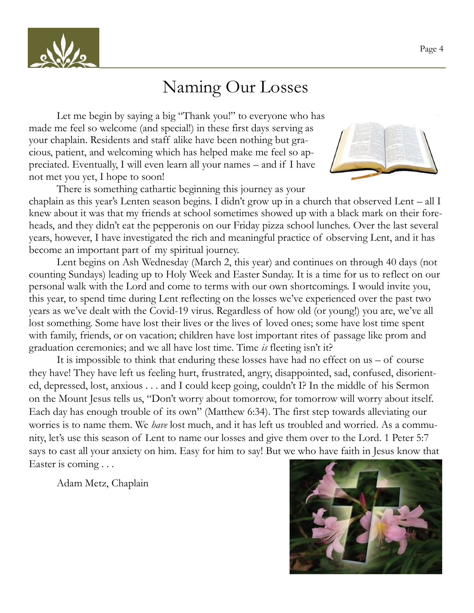

#### Naming Our Losses

Let me begin by saying a big "Thank you!" to everyone who has made me feel so welcome (and special!) in these first days serving as your chaplain. Residents and staff alike have been nothing but gracious, patient, and welcoming which has helped make me feel so appreciated. Eventually, I will even learn all your names – and if I have not met you yet, I hope to soon!



There is something cathartic beginning this journey as your chaplain as this year's Lenten season begins. I didn't grow up in a church that observed Lent – all I knew about it was that my friends at school sometimes showed up with a black mark on their foreheads, and they didn't eat the pepperonis on our Friday pizza school lunches. Over the last several years, however, I have investigated the rich and meaningful practice of observing Lent, and it has become an important part of my spiritual journey.

Lent begins on Ash Wednesday (March 2, this year) and continues on through 40 days (not counting Sundays) leading up to Holy Week and Easter Sunday. It is a time for us to reflect on our personal walk with the Lord and come to terms with our own shortcomings. I would invite you, this year, to spend time during Lent reflecting on the losses we've experienced over the past two years as we've dealt with the Covid-19 virus. Regardless of how old (or young!) you are, we've all lost something. Some have lost their lives or the lives of loved ones; some have lost time spent with family, friends, or on vacation; children have lost important rites of passage like prom and graduation ceremonies; and we all have lost time. Time *is* fleeting isn't it?

It is impossible to think that enduring these losses have had no effect on us – of course they have! They have left us feeling hurt, frustrated, angry, disappointed, sad, confused, disoriented, depressed, lost, anxious . . . and I could keep going, couldn't I? In the middle of his Sermon on the Mount Jesus tells us, "Don't worry about tomorrow, for tomorrow will worry about itself. Each day has enough trouble of its own" (Matthew 6:34). The first step towards alleviating our worries is to name them. We *have* lost much, and it has left us troubled and worried. As a community, let's use this season of Lent to name our losses and give them over to the Lord. 1 Peter 5:7 says to cast all your anxiety on him. Easy for him to say! But we who have faith in Jesus know that Easter is coming . . .

Adam Metz, Chaplain

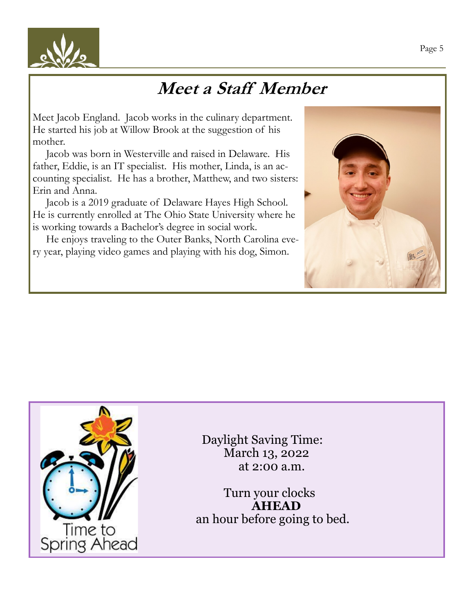

# **Meet a Staff Member**

Meet Jacob England. Jacob works in the culinary department. He started his job at Willow Brook at the suggestion of his mother.

 Jacob was born in Westerville and raised in Delaware. His father, Eddie, is an IT specialist. His mother, Linda, is an accounting specialist. He has a brother, Matthew, and two sisters: Erin and Anna.

 Jacob is a 2019 graduate of Delaware Hayes High School. He is currently enrolled at The Ohio State University where he is working towards a Bachelor's degree in social work.

 He enjoys traveling to the Outer Banks, North Carolina every year, playing video games and playing with his dog, Simon.





 Daylight Saving Time: March 13, 2022 at 2:00 a.m.

Turn your clocks **AHEAD** an hour before going to bed.